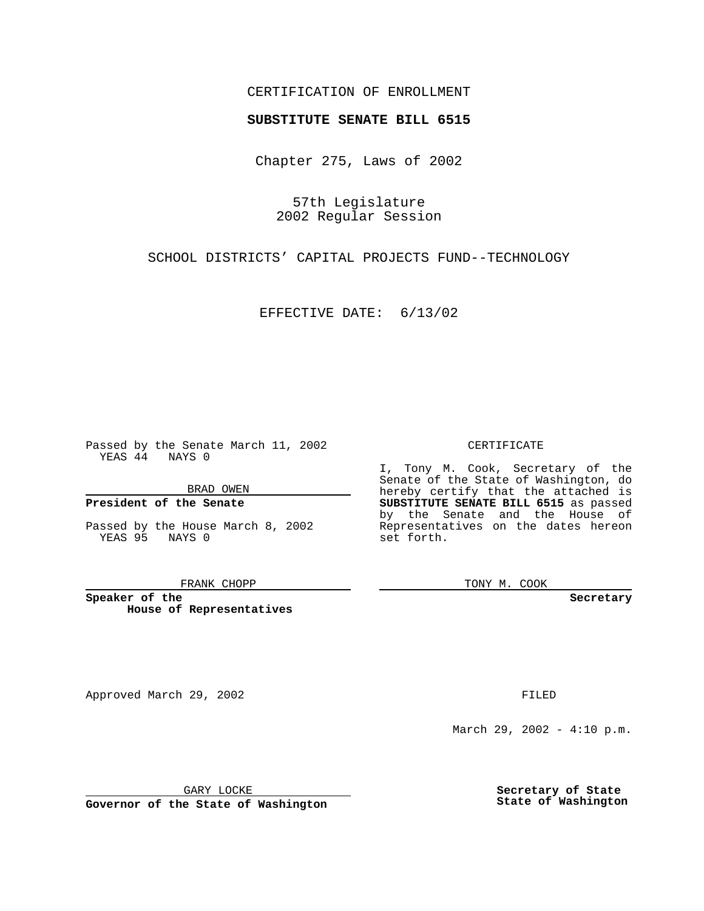## CERTIFICATION OF ENROLLMENT

# **SUBSTITUTE SENATE BILL 6515**

Chapter 275, Laws of 2002

57th Legislature 2002 Regular Session

SCHOOL DISTRICTS' CAPITAL PROJECTS FUND--TECHNOLOGY

EFFECTIVE DATE: 6/13/02

Passed by the Senate March 11, 2002 YEAS 44 NAYS 0

BRAD OWEN

### **President of the Senate**

Passed by the House March 8, 2002 YEAS 95 NAYS 0

#### FRANK CHOPP

**Speaker of the House of Representatives**

Approved March 29, 2002 **FILED** 

#### CERTIFICATE

I, Tony M. Cook, Secretary of the Senate of the State of Washington, do hereby certify that the attached is **SUBSTITUTE SENATE BILL 6515** as passed by the Senate and the House of Representatives on the dates hereon set forth.

TONY M. COOK

**Secretary**

March 29, 2002 - 4:10 p.m.

GARY LOCKE

**Governor of the State of Washington**

**Secretary of State State of Washington**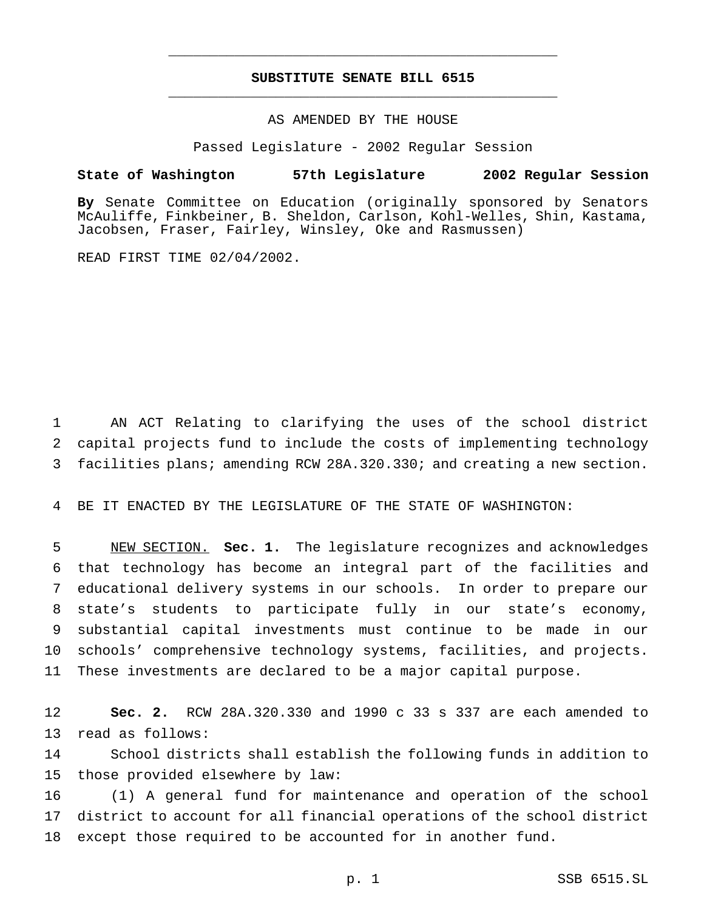## **SUBSTITUTE SENATE BILL 6515** \_\_\_\_\_\_\_\_\_\_\_\_\_\_\_\_\_\_\_\_\_\_\_\_\_\_\_\_\_\_\_\_\_\_\_\_\_\_\_\_\_\_\_\_\_\_\_

\_\_\_\_\_\_\_\_\_\_\_\_\_\_\_\_\_\_\_\_\_\_\_\_\_\_\_\_\_\_\_\_\_\_\_\_\_\_\_\_\_\_\_\_\_\_\_

### AS AMENDED BY THE HOUSE

Passed Legislature - 2002 Regular Session

#### **State of Washington 57th Legislature 2002 Regular Session**

**By** Senate Committee on Education (originally sponsored by Senators McAuliffe, Finkbeiner, B. Sheldon, Carlson, Kohl-Welles, Shin, Kastama, Jacobsen, Fraser, Fairley, Winsley, Oke and Rasmussen)

READ FIRST TIME 02/04/2002.

 AN ACT Relating to clarifying the uses of the school district capital projects fund to include the costs of implementing technology facilities plans; amending RCW 28A.320.330; and creating a new section.

BE IT ENACTED BY THE LEGISLATURE OF THE STATE OF WASHINGTON:

 NEW SECTION. **Sec. 1.** The legislature recognizes and acknowledges that technology has become an integral part of the facilities and educational delivery systems in our schools. In order to prepare our state's students to participate fully in our state's economy, substantial capital investments must continue to be made in our schools' comprehensive technology systems, facilities, and projects. These investments are declared to be a major capital purpose.

 **Sec. 2.** RCW 28A.320.330 and 1990 c 33 s 337 are each amended to read as follows:

 School districts shall establish the following funds in addition to those provided elsewhere by law:

 (1) A general fund for maintenance and operation of the school district to account for all financial operations of the school district except those required to be accounted for in another fund.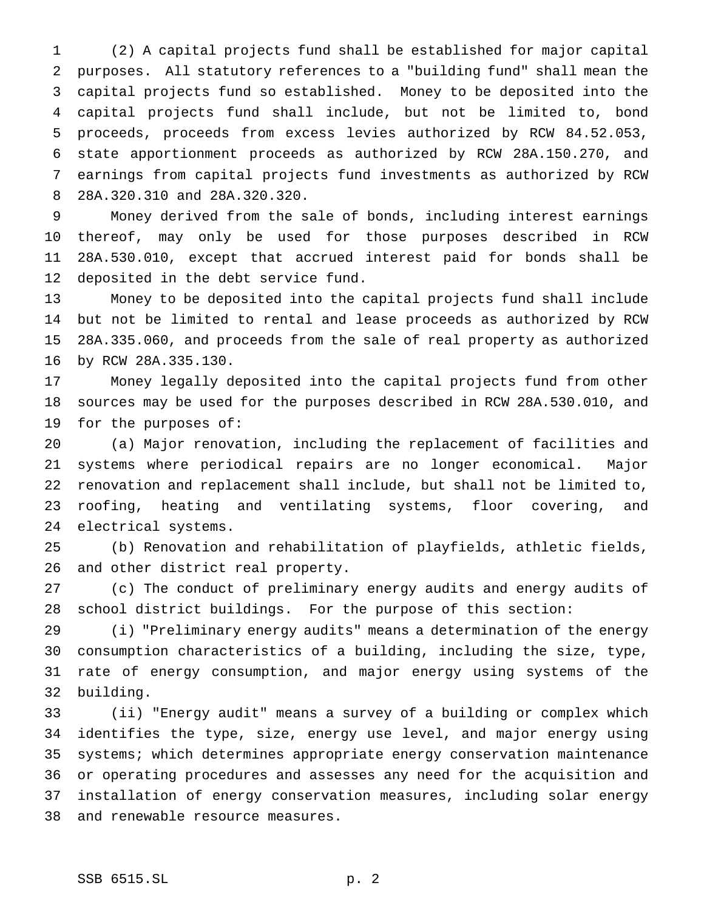(2) A capital projects fund shall be established for major capital purposes. All statutory references to a "building fund" shall mean the capital projects fund so established. Money to be deposited into the capital projects fund shall include, but not be limited to, bond proceeds, proceeds from excess levies authorized by RCW 84.52.053, state apportionment proceeds as authorized by RCW 28A.150.270, and earnings from capital projects fund investments as authorized by RCW 28A.320.310 and 28A.320.320.

 Money derived from the sale of bonds, including interest earnings thereof, may only be used for those purposes described in RCW 28A.530.010, except that accrued interest paid for bonds shall be deposited in the debt service fund.

 Money to be deposited into the capital projects fund shall include but not be limited to rental and lease proceeds as authorized by RCW 28A.335.060, and proceeds from the sale of real property as authorized by RCW 28A.335.130.

 Money legally deposited into the capital projects fund from other sources may be used for the purposes described in RCW 28A.530.010, and for the purposes of:

 (a) Major renovation, including the replacement of facilities and systems where periodical repairs are no longer economical. Major renovation and replacement shall include, but shall not be limited to, roofing, heating and ventilating systems, floor covering, and electrical systems.

 (b) Renovation and rehabilitation of playfields, athletic fields, and other district real property.

 (c) The conduct of preliminary energy audits and energy audits of school district buildings. For the purpose of this section:

 (i) "Preliminary energy audits" means a determination of the energy consumption characteristics of a building, including the size, type, rate of energy consumption, and major energy using systems of the building.

 (ii) "Energy audit" means a survey of a building or complex which identifies the type, size, energy use level, and major energy using systems; which determines appropriate energy conservation maintenance or operating procedures and assesses any need for the acquisition and installation of energy conservation measures, including solar energy and renewable resource measures.